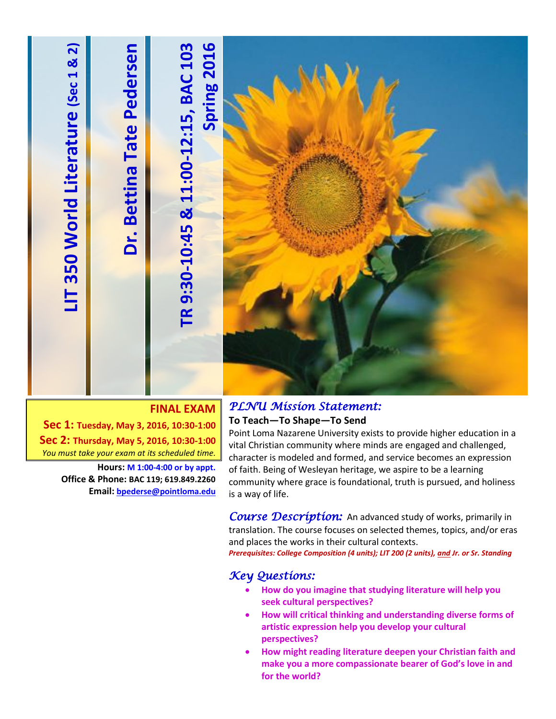

### **FINAL EXAM**

**Sec 1: Tuesday, May 3, 2016, 10:30-1:00 Sec 2: Thursday, May 5, 2016, 10:30-1:00** *You must take your exam at its scheduled time.*

> **Hours: M 1:00-4:00 or by appt. Office & Phone: BAC 119; 619.849.2260 Email: [bpederse@pointloma.edu](mailto:bpederse@pointloma.edu)**

### *PLNU Mission Statement:*

#### **To Teach—To Shape—To Send**

Point Loma Nazarene University exists to provide higher education in a vital Christian community where minds are engaged and challenged, character is modeled and formed, and service becomes an expression of faith. Being of Wesleyan heritage, we aspire to be a learning community where grace is foundational, truth is pursued, and holiness is a way of life.

**Course Description:** An advanced study of works, primarily in translation. The course focuses on selected themes, topics, and/or eras and places the works in their cultural contexts.

*Prerequisites: College Composition (4 units); LIT 200 (2 units), and Jr. or Sr. Standing*

### *Key Questions:*

- **How do you imagine that studying literature will help you seek cultural perspectives?**
- **How will critical thinking and understanding diverse forms of artistic expression help you develop your cultural perspectives?**
- **How might reading literature deepen your Christian faith and make you a more compassionate bearer of God's love in and for the world?**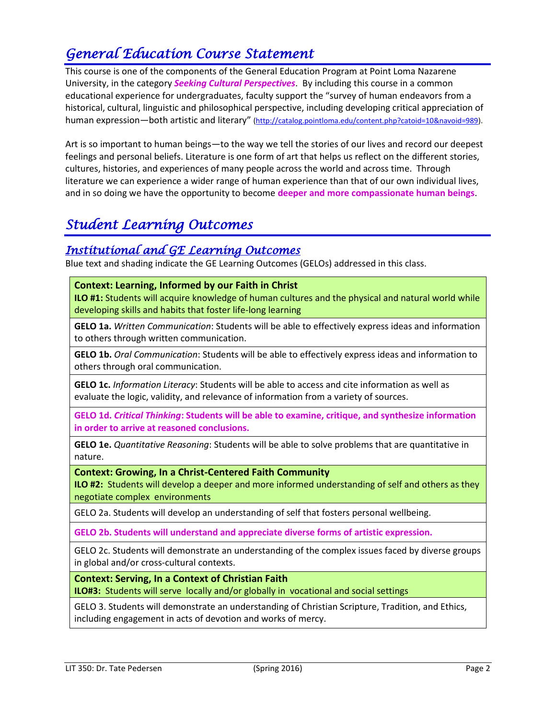## *General Education Course Statement*

This course is one of the components of the General Education Program at Point Loma Nazarene University, in the category *Seeking Cultural Perspectives*. By including this course in a common educational experience for undergraduates, faculty support the "survey of human endeavors from a historical, cultural, linguistic and philosophical perspective, including developing critical appreciation of human expression—both artistic and literary" [\(http://catalog.pointloma.edu/content.php?catoid=10&navoid=989\)](http://catalog.pointloma.edu/content.php?catoid=10&navoid=989).

Art is so important to human beings—to the way we tell the stories of our lives and record our deepest feelings and personal beliefs. Literature is one form of art that helps us reflect on the different stories, cultures, histories, and experiences of many people across the world and across time. Through literature we can experience a wider range of human experience than that of our own individual lives, and in so doing we have the opportunity to become **deeper and more compassionate human beings**.

## *Student Learning Outcomes*

### *Institutional and GE Learning Outcomes*

Blue text and shading indicate the GE Learning Outcomes (GELOs) addressed in this class.

### **Context: Learning, Informed by our Faith in Christ**

**ILO #1:** Students will acquire knowledge of human cultures and the physical and natural world while developing skills and habits that foster life-long learning

**GELO 1a.** *Written Communication*: Students will be able to effectively express ideas and information to others through written communication.

**GELO 1b.** *Oral Communication*: Students will be able to effectively express ideas and information to others through oral communication.

**GELO 1c.** *Information Literacy*: Students will be able to access and cite information as well as evaluate the logic, validity, and relevance of information from a variety of sources.

**GELO 1d.** *Critical Thinking***: Students will be able to examine, critique, and synthesize information in order to arrive at reasoned conclusions.**

**GELO 1e.** *Quantitative Reasoning*: Students will be able to solve problems that are quantitative in nature.

#### **Context: Growing, In a Christ-Centered Faith Community**

**ILO #2:** Students will develop a deeper and more informed understanding of self and others as they negotiate complex environments

GELO 2a. Students will develop an understanding of self that fosters personal wellbeing.

**GELO 2b. Students will understand and appreciate diverse forms of artistic expression.** 

GELO 2c. Students will demonstrate an understanding of the complex issues faced by diverse groups in global and/or cross-cultural contexts.

#### **Context: Serving, In a Context of Christian Faith**

**ILO#3:** Students will serve locally and/or globally in vocational and social settings

GELO 3. Students will demonstrate an understanding of Christian Scripture, Tradition, and Ethics, including engagement in acts of devotion and works of mercy.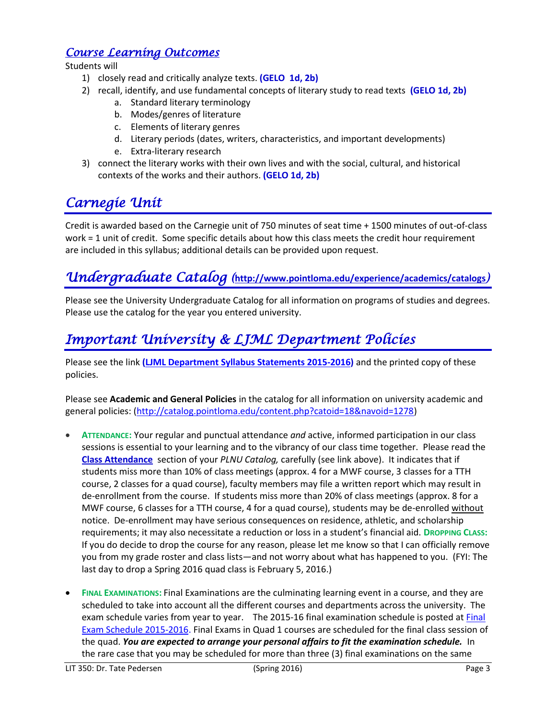### *Course Learning Outcomes*

Students will

- 1) closely read and critically analyze texts. **(GELO 1d, 2b)**
- 2) recall, identify, and use fundamental concepts of literary study to read texts **(GELO 1d, 2b)**
	- a. Standard literary terminology
	- b. Modes/genres of literature
	- c. Elements of literary genres
	- d. Literary periods (dates, writers, characteristics, and important developments)
	- e. Extra-literary research
- 3) connect the literary works with their own lives and with the social, cultural, and historical contexts of the works and their authors. **(GELO 1d, 2b)**

## *Carnegie Unit*

Credit is awarded based on the Carnegie unit of 750 minutes of seat time + 1500 minutes of out-of-class work = 1 unit of credit. Some specific details about how this class meets the credit hour requirement are included in this syllabus; additional details can be provided upon request.

## *Undergraduate Catalog (***<http://www.pointloma.edu/experience/academics/catalogs>***)*

Please see the University Undergraduate Catalog for all information on programs of studies and degrees. Please use the catalog for the year you entered university.

## *Important University & LJML Department Policies*

Please see the link **(LJML [Department](http://www.pointloma.edu/sites/default/files/filemanager/Literature_Journalism__Modern_Languages/LJML_Department_Syllabus_Statments_final_2015-16.pdf) Syllabus Statements 2015-2016)** and the printed copy of these policies.

Please see **Academic and General Policies** in the catalog for all information on university academic and general policies: [\(http://catalog.pointloma.edu/content.php?catoid=18&navoid=1278\)](http://catalog.pointloma.edu/content.php?catoid=18&navoid=1278)

- **ATTENDANCE:** Your regular and punctual attendance *and* active, informed participation in our class sessions is essential to your learning and to the vibrancy of our class time together. Please read the **[Class Attendance](http://catalog.pointloma.edu/content.php?catoid=14&navoid=1089#Class_Attendance)** section of your *PLNU Catalog,* carefully (see link above). It indicates that if students miss more than 10% of class meetings (approx. 4 for a MWF course, 3 classes for a TTH course, 2 classes for a quad course), faculty members may file a written report which may result in de-enrollment from the course. If students miss more than 20% of class meetings (approx. 8 for a MWF course, 6 classes for a TTH course, 4 for a quad course), students may be de-enrolled without notice. De-enrollment may have serious consequences on residence, athletic, and scholarship requirements; it may also necessitate a reduction or loss in a student's financial aid. **DROPPING CLASS:** If you do decide to drop the course for any reason, please let me know so that I can officially remove you from my grade roster and class lists—and not worry about what has happened to you. (FYI: The last day to drop a Spring 2016 quad class is February 5, 2016.)
- **FINAL EXAMINATIONS:** Final Examinations are the culminating learning event in a course, and they are scheduled to take into account all the different courses and departments across the university. The exam schedule varies from year to year. The 2015-16 final examination schedule is posted at [Final](http://www.pointloma.edu/sites/default/files/filemanager/Academic_Affairs/Schedules/Final_Exam_Schedule_2015-2016.pdf) Exam Schedule [2015-2016.](http://www.pointloma.edu/sites/default/files/filemanager/Academic_Affairs/Schedules/Final_Exam_Schedule_2015-2016.pdf) Final Exams in Quad 1 courses are scheduled for the final class session of the quad. *You are expected to arrange your personal affairs to fit the examination schedule.* In the rare case that you may be scheduled for more than three (3) final examinations on the same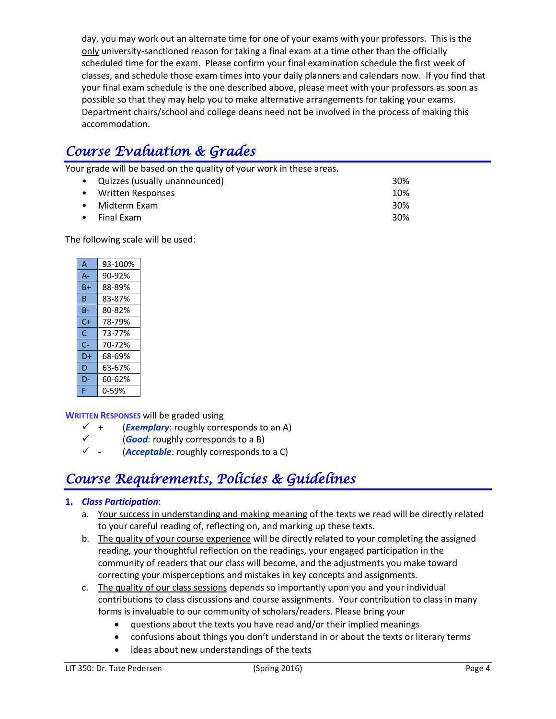day, you may work out an alternate time for one of your exams with your professors. This is the only university-sanctioned reason for taking a final exam at a time other than the officially scheduled time for the exam. Please confirm your final examination schedule the first week of classes, and schedule those exam times into your daily planners and calendars now. If you find that your final exam schedule is the one described above, please meet with your professors as soon as possible so that they may help you to make alternative arrangements for taking your exams. Department chairs/school and college deans need not be involved in the process of making this accommodation.

# *Course Evaluation & Grades*

Your grade will be based on the quality of your work in these areas.

| • Quizzes (usually unannounced) | 30% |
|---------------------------------|-----|
| • Written Responses             | 10% |
| • Midterm Exam                  | 30% |
| $\bullet$ Final Exam            | 30% |
|                                 |     |

The following scale will be used:

| A     | 93-100% |
|-------|---------|
| $A -$ | 90-92%  |
| B+    | 88-89%  |
| в     | 83-87%  |
| B-    | 80-82%  |
| $C+$  | 78-79%  |
| Ċ     | 73-77%  |
| $C -$ | 70-72%  |
| D+    | 68-69%  |
| D     | 63-67%  |
| D-    | 60-62%  |
| F     | 0-59%   |

**WRITTEN RESPONSES** will be graded using

- $\checkmark$  + (*Exemplary*: roughly corresponds to an A)
- (*Good*: roughly corresponds to a B)
- **-** (*Acceptable*: roughly corresponds to a C)

# *Course Requirements, Policies & Guidelines*

### **1.** *Class Participation*:

- a. Your success in understanding and making meaning of the texts we read will be directly related to your careful reading of, reflecting on, and marking up these texts.
- b. The quality of your course experience will be directly related to your completing the assigned reading, your thoughtful reflection on the readings, your engaged participation in the community of readers that our class will become, and the adjustments you make toward correcting your misperceptions and mistakes in key concepts and assignments.
- c. The quality of our class sessions depends so importantly upon you and your individual contributions to class discussions and course assignments. Your contribution to class in many forms is invaluable to our community of scholars/readers. Please bring your
	- questions about the texts you have read and/or their implied meanings
	- confusions about things you don't understand in or about the texts or literary terms
	- ideas about new understandings of the texts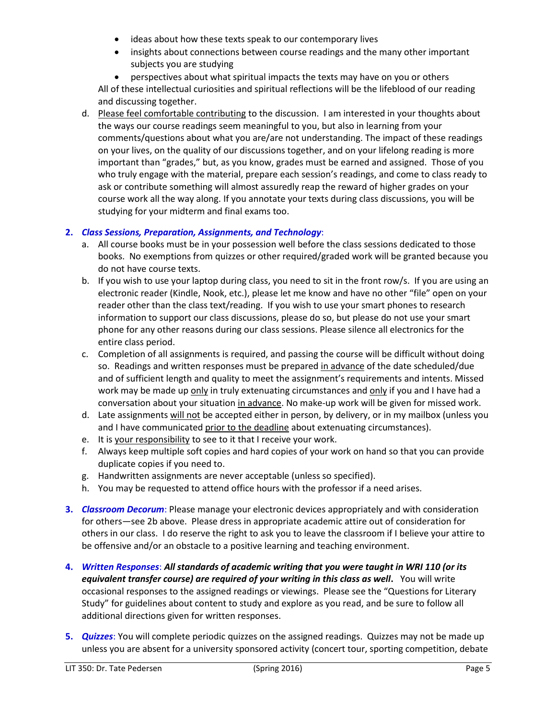- ideas about how these texts speak to our contemporary lives
- insights about connections between course readings and the many other important subjects you are studying

 perspectives about what spiritual impacts the texts may have on you or others All of these intellectual curiosities and spiritual reflections will be the lifeblood of our reading and discussing together.

d. Please feel comfortable contributing to the discussion. I am interested in your thoughts about the ways our course readings seem meaningful to you, but also in learning from your comments/questions about what you are/are not understanding. The impact of these readings on your lives, on the quality of our discussions together, and on your lifelong reading is more important than "grades," but, as you know, grades must be earned and assigned. Those of you who truly engage with the material, prepare each session's readings, and come to class ready to ask or contribute something will almost assuredly reap the reward of higher grades on your course work all the way along. If you annotate your texts during class discussions, you will be studying for your midterm and final exams too.

### **2.** *Class Sessions, Preparation, Assignments, and Technology*:

- a. All course books must be in your possession well before the class sessions dedicated to those books. No exemptions from quizzes or other required/graded work will be granted because you do not have course texts.
- b. If you wish to use your laptop during class, you need to sit in the front row/s. If you are using an electronic reader (Kindle, Nook, etc.), please let me know and have no other "file" open on your reader other than the class text/reading. If you wish to use your smart phones to research information to support our class discussions, please do so, but please do not use your smart phone for any other reasons during our class sessions. Please silence all electronics for the entire class period.
- c. Completion of all assignments is required, and passing the course will be difficult without doing so. Readings and written responses must be prepared in advance of the date scheduled/due and of sufficient length and quality to meet the assignment's requirements and intents. Missed work may be made up only in truly extenuating circumstances and only if you and I have had a conversation about your situation in advance. No make-up work will be given for missed work.
- d. Late assignments will not be accepted either in person, by delivery, or in my mailbox (unless you and I have communicated prior to the deadline about extenuating circumstances).
- e. It is your responsibility to see to it that I receive your work.
- f. Always keep multiple soft copies and hard copies of your work on hand so that you can provide duplicate copies if you need to.
- g. Handwritten assignments are never acceptable (unless so specified).
- h. You may be requested to attend office hours with the professor if a need arises.
- **3.** *Classroom Decorum*: Please manage your electronic devices appropriately and with consideration for others—see 2b above. Please dress in appropriate academic attire out of consideration for others in our class. I do reserve the right to ask you to leave the classroom if I believe your attire to be offensive and/or an obstacle to a positive learning and teaching environment.
- **4.** *Written Responses*: *All standards of academic writing that you were taught in WRI 110 (or its equivalent transfer course) are required of your writing in this class as well***.** You will write occasional responses to the assigned readings or viewings. Please see the "Questions for Literary Study" for guidelines about content to study and explore as you read, and be sure to follow all additional directions given for written responses.
- **5.** *Quizzes*: You will complete periodic quizzes on the assigned readings. Quizzes may not be made up unless you are absent for a university sponsored activity (concert tour, sporting competition, debate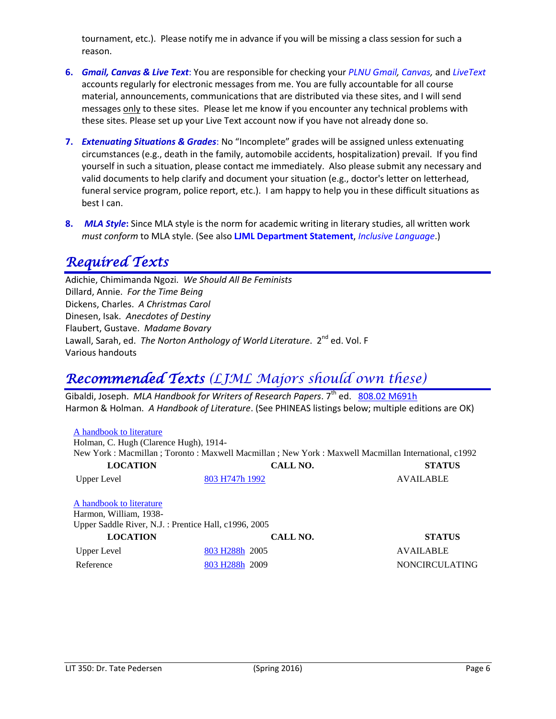tournament, etc.). Please notify me in advance if you will be missing a class session for such a reason.

- **6.** *Gmail, Canvas & Live Text*: You are responsible for checking your *PLNU Gmail, Canvas,* and *LiveText* accounts regularly for electronic messages from me. You are fully accountable for all course material, announcements, communications that are distributed via these sites, and I will send messages only to these sites. Please let me know if you encounter any technical problems with these sites. Please set up your Live Text account now if you have not already done so.
- **7.** *Extenuating Situations & Grades*: No "Incomplete" grades will be assigned unless extenuating circumstances (e.g., death in the family, automobile accidents, hospitalization) prevail. If you find yourself in such a situation, please contact me immediately. Also please submit any necessary and valid documents to help clarify and document your situation (e.g., doctor's letter on letterhead, funeral service program, police report, etc.). I am happy to help you in these difficult situations as best I can.
- **8.** *MLA Style***:** Since MLA style is the norm for academic writing in literary studies, all written work *must conform* to MLA style. (See also **LJML Department Statement**, *Inclusive Language*.)

## *Required Texts*

Adichie, Chimimanda Ngozi. *We Should All Be Feminists* Dillard, Annie. *For the Time Being* Dickens, Charles. *A Christmas Carol* Dinesen, Isak. *Anecdotes of Destiny*  Flaubert, Gustave. *Madame Bovary* Lawall, Sarah, ed. *The Norton Anthology of World Literature*. 2<sup>nd</sup> ed. Vol. F Various handouts

## *Recommended Texts (LJML Majors should own these)*

Gibaldi, Joseph. *MLA Handbook for Writers of Research Papers*. 7<sup>th</sup> ed. [808.02 M691h](http://phineas.pointloma.edu/search~S0?/c808.02+M691h/c808.02+m691h/-3,-1,,E/browse) Harmon & Holman. *A Handbook of Literature*. (See PHINEAS listings below; multiple editions are OK)

| A handbook to literature<br>Holman, C. Hugh (Clarence Hugh), 1914-                                          |                            | New York : Macmillan ; Toronto : Maxwell Macmillan ; New York : Maxwell Macmillan International, c1992 |  |  |  |
|-------------------------------------------------------------------------------------------------------------|----------------------------|--------------------------------------------------------------------------------------------------------|--|--|--|
| <b>LOCATION</b>                                                                                             | CALL NO.                   | <b>STATUS</b>                                                                                          |  |  |  |
| Upper Level                                                                                                 | 803 H747h 1992             | <b>AVAILABLE</b>                                                                                       |  |  |  |
| A handbook to literature<br>Harmon, William, 1938-<br>Upper Saddle River, N.J. : Prentice Hall, c1996, 2005 |                            |                                                                                                        |  |  |  |
| <b>LOCATION</b>                                                                                             | CALL NO.                   | <b>STATUS</b>                                                                                          |  |  |  |
| Upper Level                                                                                                 | 803 H <sub>288h</sub> 2005 | <b>AVAILABLE</b>                                                                                       |  |  |  |
| Reference                                                                                                   | 803 H <sub>288h</sub> 2009 | <b>NONCIRCULATING</b>                                                                                  |  |  |  |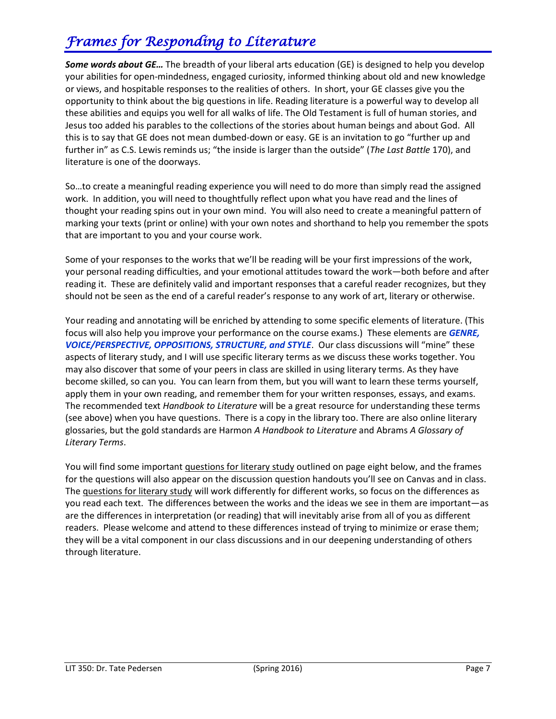# *Frames for Responding to Literature*

*Some words about GE…* The breadth of your liberal arts education (GE) is designed to help you develop your abilities for open-mindedness, engaged curiosity, informed thinking about old and new knowledge or views, and hospitable responses to the realities of others. In short, your GE classes give you the opportunity to think about the big questions in life. Reading literature is a powerful way to develop all these abilities and equips you well for all walks of life. The Old Testament is full of human stories, and Jesus too added his parables to the collections of the stories about human beings and about God. All this is to say that GE does not mean dumbed-down or easy. GE is an invitation to go "further up and further in" as C.S. Lewis reminds us; "the inside is larger than the outside" (*The Last Battle* 170), and literature is one of the doorways.

So…to create a meaningful reading experience you will need to do more than simply read the assigned work. In addition, you will need to thoughtfully reflect upon what you have read and the lines of thought your reading spins out in your own mind. You will also need to create a meaningful pattern of marking your texts (print or online) with your own notes and shorthand to help you remember the spots that are important to you and your course work.

Some of your responses to the works that we'll be reading will be your first impressions of the work, your personal reading difficulties, and your emotional attitudes toward the work—both before and after reading it. These are definitely valid and important responses that a careful reader recognizes, but they should not be seen as the end of a careful reader's response to any work of art, literary or otherwise.

Your reading and annotating will be enriched by attending to some specific elements of literature. (This focus will also help you improve your performance on the course exams.) These elements are *GENRE, VOICE/PERSPECTIVE, OPPOSITIONS, STRUCTURE, and STYLE*. Our class discussions will "mine" these aspects of literary study, and I will use specific literary terms as we discuss these works together. You may also discover that some of your peers in class are skilled in using literary terms. As they have become skilled, so can you. You can learn from them, but you will want to learn these terms yourself, apply them in your own reading, and remember them for your written responses, essays, and exams. The recommended text *Handbook to Literature* will be a great resource for understanding these terms (see above) when you have questions. There is a copy in the library too. There are also online literary glossaries, but the gold standards are Harmon *A Handbook to Literature* and Abrams *A Glossary of Literary Terms*.

You will find some important questions for literary study outlined on page eight below, and the frames for the questions will also appear on the discussion question handouts you'll see on Canvas and in class. The questions for literary study will work differently for different works, so focus on the differences as you read each text. The differences between the works and the ideas we see in them are important—as are the differences in interpretation (or reading) that will inevitably arise from all of you as different readers. Please welcome and attend to these differences instead of trying to minimize or erase them; they will be a vital component in our class discussions and in our deepening understanding of others through literature.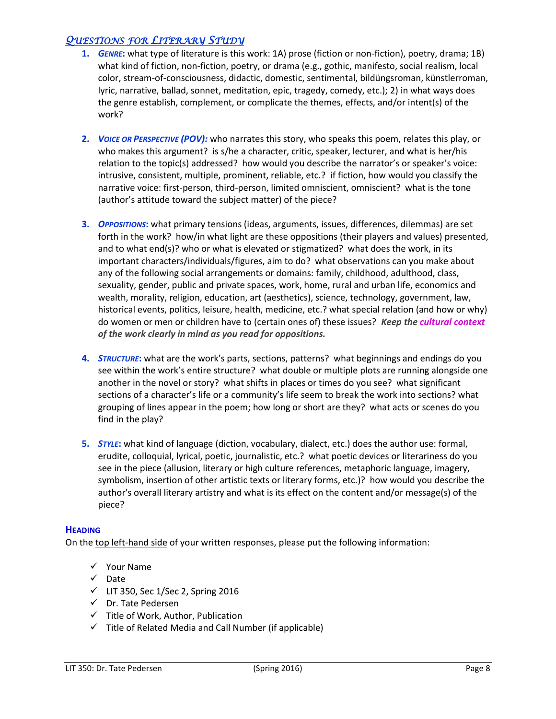### *QUESTIONS FOR LITERARY STUDY*

- **1.** *GENRE***:** what type of literature is this work: 1A) prose (fiction or non-fiction), poetry, drama; 1B) what kind of fiction, non-fiction, poetry, or drama (e.g., gothic, manifesto, social realism, local color, stream-of-consciousness, didactic, domestic, sentimental, bildüngsroman, künstlerroman, lyric, narrative, ballad, sonnet, meditation, epic, tragedy, comedy, etc.); 2) in what ways does the genre establish, complement, or complicate the themes, effects, and/or intent(s) of the work?
- **2.** *VOICE OR PERSPECTIVE (POV):* who narrates this story, who speaks this poem, relates this play, or who makes this argument? is s/he a character, critic, speaker, lecturer, and what is her/his relation to the topic(s) addressed? how would you describe the narrator's or speaker's voice: intrusive, consistent, multiple, prominent, reliable, etc.? if fiction, how would you classify the narrative voice: first-person, third-person, limited omniscient, omniscient? what is the tone (author's attitude toward the subject matter) of the piece?
- **3.** *OPPOSITIONS***:** what primary tensions (ideas, arguments, issues, differences, dilemmas) are set forth in the work? how/in what light are these oppositions (their players and values) presented, and to what end(s)? who or what is elevated or stigmatized? what does the work, in its important characters/individuals/figures, aim to do? what observations can you make about any of the following social arrangements or domains: family, childhood, adulthood, class, sexuality, gender, public and private spaces, work, home, rural and urban life, economics and wealth, morality, religion, education, art (aesthetics), science, technology, government, law, historical events, politics, leisure, health, medicine, etc.? what special relation (and how or why) do women or men or children have to (certain ones of) these issues? *Keep the cultural context of the work clearly in mind as you read for oppositions.*
- **4.** *STRUCTURE***:** what are the work's parts, sections, patterns? what beginnings and endings do you see within the work's entire structure? what double or multiple plots are running alongside one another in the novel or story? what shifts in places or times do you see? what significant sections of a character's life or a community's life seem to break the work into sections? what grouping of lines appear in the poem; how long or short are they? what acts or scenes do you find in the play?
- **5.** *STYLE***:** what kind of language (diction, vocabulary, dialect, etc.) does the author use: formal, erudite, colloquial, lyrical, poetic, journalistic, etc.? what poetic devices or literariness do you see in the piece (allusion, literary or high culture references, metaphoric language, imagery, symbolism, insertion of other artistic texts or literary forms, etc.)? how would you describe the author's overall literary artistry and what is its effect on the content and/or message(s) of the piece?

#### **HEADING**

On the top left-hand side of your written responses, please put the following information:

- $\checkmark$  Your Name
- $\checkmark$  Date
- $\checkmark$  LIT 350, Sec 1/Sec 2, Spring 2016
- Dr. Tate Pedersen
- $\checkmark$  Title of Work, Author, Publication
- $\checkmark$  Title of Related Media and Call Number (if applicable)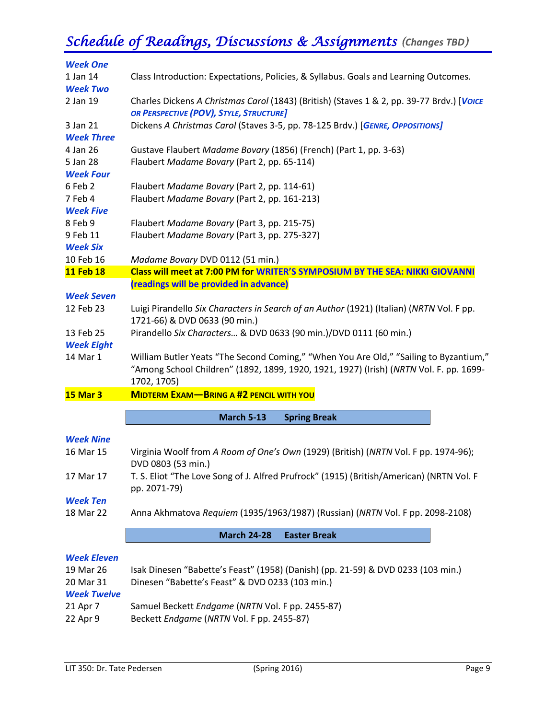# *Schedule of Readings, Discussions & Assignments (Changes TBD)*

| <b>Week One</b>    |                                                                                           |
|--------------------|-------------------------------------------------------------------------------------------|
| 1 Jan 14           | Class Introduction: Expectations, Policies, & Syllabus. Goals and Learning Outcomes.      |
| <b>Week Two</b>    |                                                                                           |
| 2 Jan 19           | Charles Dickens A Christmas Carol (1843) (British) (Staves 1 & 2, pp. 39-77 Brdv.) [VOICE |
|                    | OR PERSPECTIVE (POV), STYLE, STRUCTURE]                                                   |
| 3 Jan 21           | Dickens A Christmas Carol (Staves 3-5, pp. 78-125 Brdv.) [GENRE, OPPOSITIONS]             |
| <b>Week Three</b>  |                                                                                           |
| 4 Jan 26           | Gustave Flaubert Madame Bovary (1856) (French) (Part 1, pp. 3-63)                         |
| 5 Jan 28           | Flaubert Madame Bovary (Part 2, pp. 65-114)                                               |
| <b>Week Four</b>   |                                                                                           |
| 6 Feb 2            | Flaubert Madame Bovary (Part 2, pp. 114-61)                                               |
| 7 Feb 4            | Flaubert Madame Bovary (Part 2, pp. 161-213)                                              |
| <b>Week Five</b>   |                                                                                           |
| 8 Feb 9            | Flaubert Madame Bovary (Part 3, pp. 215-75)                                               |
| 9 Feb 11           | Flaubert Madame Bovary (Part 3, pp. 275-327)                                              |
| <b>Week Six</b>    |                                                                                           |
| 10 Feb 16          | Madame Bovary DVD 0112 (51 min.)                                                          |
| <b>11 Feb 18</b>   | Class will meet at 7:00 PM for WRITER'S SYMPOSIUM BY THE SEA: NIKKI GIOVANNI              |
|                    | (readings will be provided in advance)                                                    |
| <b>Week Seven</b>  |                                                                                           |
| 12 Feb 23          | Luigi Pirandello Six Characters in Search of an Author (1921) (Italian) (NRTN Vol. F pp.  |
|                    | 1721-66) & DVD 0633 (90 min.)                                                             |
| 13 Feb 25          | Pirandello Six Characters & DVD 0633 (90 min.)/DVD 0111 (60 min.)                         |
| <b>Week Eight</b>  |                                                                                           |
| 14 Mar 1           | William Butler Yeats "The Second Coming," "When You Are Old," "Sailing to Byzantium,"     |
|                    | "Among School Children" (1892, 1899, 1920, 1921, 1927) (Irish) (NRTN Vol. F. pp. 1699-    |
|                    | 1702, 1705)                                                                               |
| <b>15 Mar 3</b>    | <b>MIDTERM EXAM-BRING A #2 PENCIL WITH YOU</b>                                            |
|                    |                                                                                           |
|                    | <b>March 5-13</b><br><b>Spring Break</b>                                                  |
| <b>Week Nine</b>   |                                                                                           |
| 16 Mar 15          | Virginia Woolf from A Room of One's Own (1929) (British) (NRTN Vol. F pp. 1974-96);       |
|                    | DVD 0803 (53 min.)                                                                        |
| 17 Mar 17          | T. S. Eliot "The Love Song of J. Alfred Prufrock" (1915) (British/American) (NRTN Vol. F  |
|                    | pp. 2071-79)                                                                              |
| <b>Week Ten</b>    |                                                                                           |
| 18 Mar 22          | Anna Akhmatova Requiem (1935/1963/1987) (Russian) (NRTN Vol. F pp. 2098-2108)             |
|                    |                                                                                           |
|                    | <b>March 24-28</b><br><b>Easter Break</b>                                                 |
|                    |                                                                                           |
| <b>Week Eleven</b> |                                                                                           |
| 19 Mar 26          | Isak Dinesen "Babette's Feast" (1958) (Danish) (pp. 21-59) & DVD 0233 (103 min.)          |
| 20 Mar 31          | Dinesen "Babette's Feast" & DVD 0233 (103 min.)                                           |
| <b>Week Twelve</b> |                                                                                           |
| 21 Apr 7           | Samuel Beckett Endgame (NRTN Vol. F pp. 2455-87)                                          |
| 22 Apr 9           | Beckett Endgame (NRTN Vol. F pp. 2455-87)                                                 |